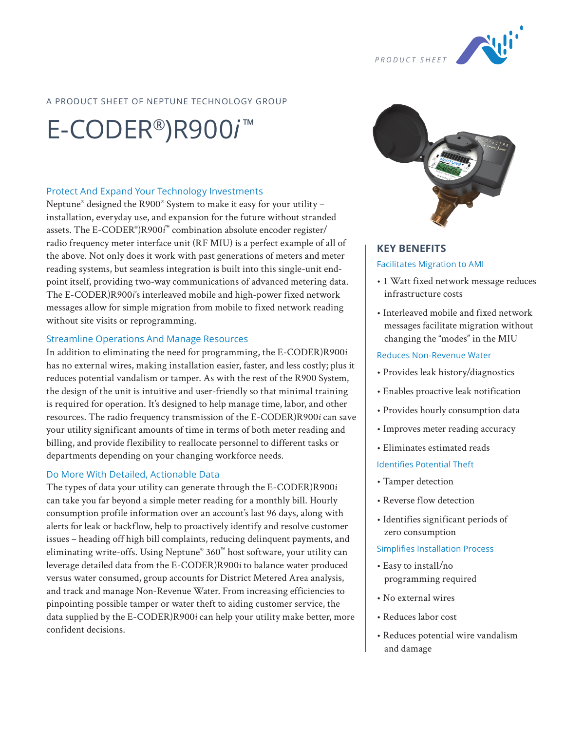

## A PRODUCT SHEET OF NEPTUNE TECHNOLOGY GROUP

# E-CODER®)R900*i* ™

#### Protect And Expand Your Technology Investments

Neptune® designed the R900® System to make it easy for your utility – installation, everyday use, and expansion for the future without stranded assets. The E-CODER® )R900*i* ™ combination absolute encoder register/ radio frequency meter interface unit (RF MIU) is a perfect example of all of the above. Not only does it work with past generations of meters and meter reading systems, but seamless integration is built into this single-unit endpoint itself, providing two-way communications of advanced metering data. The E-CODER)R900*i*'s interleaved mobile and high-power fixed network messages allow for simple migration from mobile to fixed network reading without site visits or reprogramming.

#### Streamline Operations And Manage Resources

In addition to eliminating the need for programming, the E-CODER)R900*i* has no external wires, making installation easier, faster, and less costly; plus it reduces potential vandalism or tamper. As with the rest of the R900 System, the design of the unit is intuitive and user-friendly so that minimal training is required for operation. It's designed to help manage time, labor, and other resources. The radio frequency transmission of the E-CODER)R900*i* can save your utility significant amounts of time in terms of both meter reading and billing, and provide flexibility to reallocate personnel to different tasks or departments depending on your changing workforce needs.

#### Do More With Detailed, Actionable Data

The types of data your utility can generate through the E-CODER)R900*i* can take you far beyond a simple meter reading for a monthly bill. Hourly consumption profile information over an account's last 96 days, along with alerts for leak or backflow, help to proactively identify and resolve customer issues – heading off high bill complaints, reducing delinquent payments, and eliminating write-offs. Using Neptune® 360™ host software, your utility can leverage detailed data from the E-CODER)R900*i* to balance water produced versus water consumed, group accounts for District Metered Area analysis, and track and manage Non-Revenue Water. From increasing efficiencies to pinpointing possible tamper or water theft to aiding customer service, the data supplied by the E-CODER)R900*i* can help your utility make better, more confident decisions.



# **KEY BENEFITS** Facilitates Migration to AMI

- 1 Watt fixed network message reduces infrastructure costs
- Interleaved mobile and fixed network messages facilitate migration without changing the "modes" in the MIU

#### Reduces Non-Revenue Water

- Provides leak history/diagnostics
- Enables proactive leak notification
- Provides hourly consumption data
- Improves meter reading accuracy
- Eliminates estimated reads

#### Identifies Potential Theft

- Tamper detection
- Reverse flow detection
- Identifies significant periods of zero consumption

#### Simplifies Installation Process

- Easy to install/no programming required
- No external wires
- Reduces labor cost
- Reduces potential wire vandalism and damage